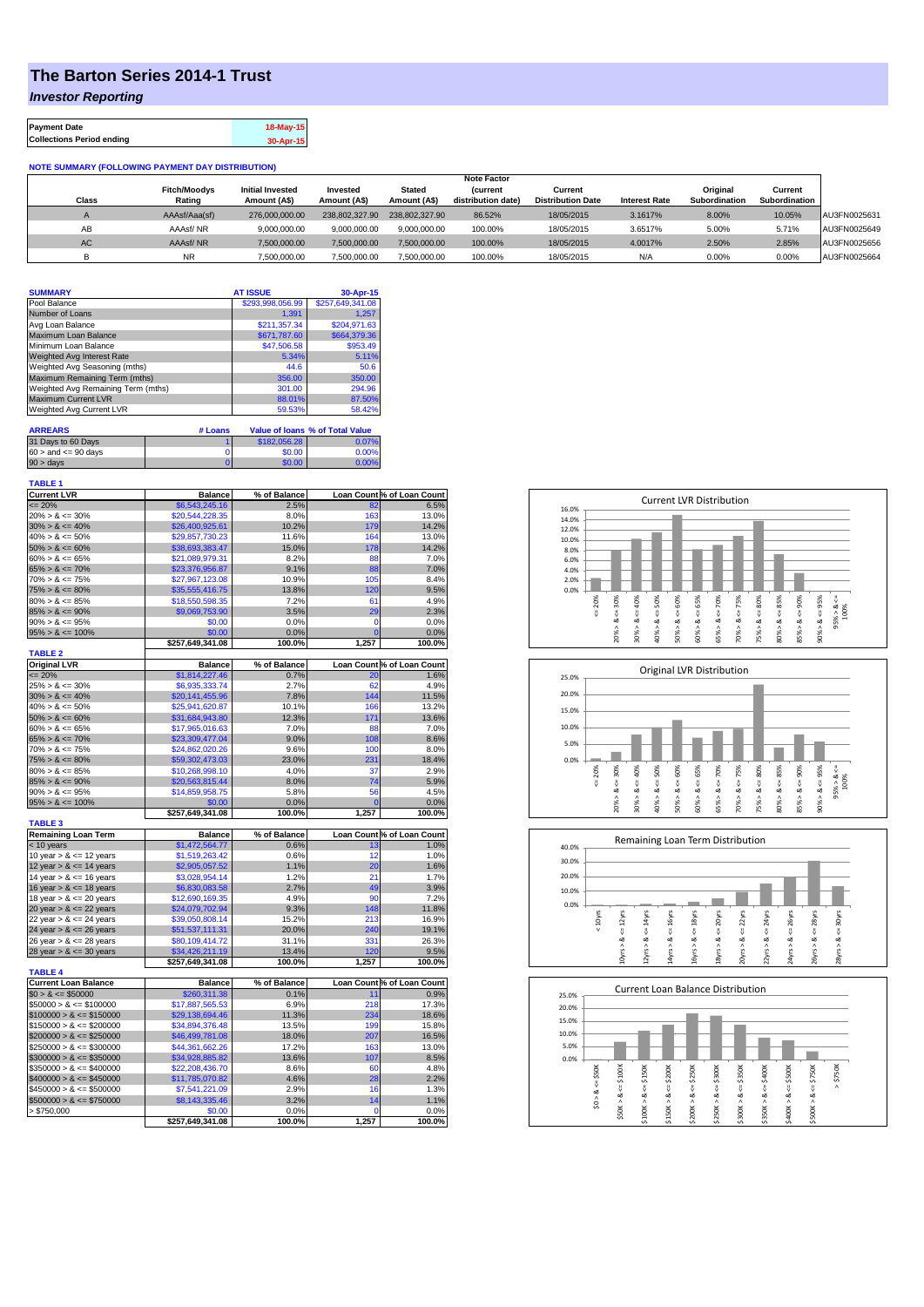## **The Barton Series 2014-1 Trust**

*Investor Reporting*

| <b>Payment Date</b>              | 18-May-15 |
|----------------------------------|-----------|
| <b>Collections Period ending</b> | 30-Apr-15 |

## **NOTE SUMMARY (FOLLOWING PAYMENT DAY DISTRIBUTION)**

|              |                     |                         |                |                | <b>Note Factor</b> |                          |                      |               |               |              |
|--------------|---------------------|-------------------------|----------------|----------------|--------------------|--------------------------|----------------------|---------------|---------------|--------------|
|              | <b>Fitch/Moodys</b> | <b>Initial Invested</b> | Invested       | Stated         | <b>Current</b>     | Current                  |                      | Original      | Current       |              |
| <b>Class</b> | Rating              | Amount (A\$)            | Amount (A\$)   | Amount (A\$)   | distribution date) | <b>Distribution Date</b> | <b>Interest Rate</b> | Subordination | Subordination |              |
|              | AAAsf/Aaa(sf)       | 276,000,000,00          | 238,802,327.90 | 238.802.327.90 | 86.52%             | 18/05/2015               | 3.1617%              | 8.00%         | 10.05%        | AU3FN0025631 |
| AB           | AAAsf/NR            | 9,000,000.00            | 9.000.000.00   | 9.000.000.00   | 100.00%            | 18/05/2015               | 3.6517%              | 5.00%         | 5.71%         | AU3FN0025649 |
| AC.          | AAAsf/NR            | 7,500,000.00            | 7.500.000.00   | 7.500.000.00   | 100.00%            | 18/05/2015               | 4.0017%              | 2.50%         | 2.85%         | AU3FN0025656 |
|              | <b>NR</b>           | ,500,000.00             | 7.500.000.00   | 7,500,000.00   | 100.00%            | 18/05/2015               | N/A                  | 0.00%         | 0.00%         | AU3FN0025664 |

| <b>SUMMARY</b>                     |         | <b>AT ISSUE</b>  | 30-Apr-15                       |
|------------------------------------|---------|------------------|---------------------------------|
| Pool Balance                       |         | \$293,998,056.99 | \$257,649,341.08                |
| Number of Loans                    |         | 1.391            | 1.257                           |
| Avg Loan Balance                   |         | \$211.357.34     | \$204.971.63                    |
| Maximum Loan Balance               |         | \$671,787.60     | \$664,379.36                    |
| Minimum Loan Balance               |         | \$47,506.58      | \$953.49                        |
| <b>Weighted Avg Interest Rate</b>  |         | 5.34%            | 5.11%                           |
| Weighted Avg Seasoning (mths)      |         | 44.6             | 50.6                            |
| Maximum Remaining Term (mths)      |         | 356.00           | 350.00                          |
| Weighted Avg Remaining Term (mths) |         | 301.00           | 294.96                          |
| <b>Maximum Current LVR</b>         |         | 88.01%           | 87.50%                          |
| Weighted Avg Current LVR           |         | 59.53%           | 58.42%                          |
| <b>ARREARS</b>                     | # Loans |                  | Value of Ioans % of Total Value |

| 31 Days to 60 Days        | \$182,056.28 | 0.07%        |
|---------------------------|--------------|--------------|
| $60 >$ and $\leq 90$ days | \$0.00       | 0.00%        |
| $90 > \text{days}$        | \$0.00       | <u>በ በበ%</u> |

| <b>TABLE 1</b>                |                                  |                      |                |                                    |
|-------------------------------|----------------------------------|----------------------|----------------|------------------------------------|
| <b>Current LVR</b><br>$= 20%$ | <b>Balance</b><br>\$6,543,245.16 | % of Balance<br>2.5% | 82             | Loan Count % of Loan Count<br>6.5% |
| $20\% > 8 \le 30\%$           | \$20,544,228.35                  | 8.0%                 | 163            | 13.0%                              |
| $30\% > 8 \le 40\%$           | \$26,400,925.61                  | 10.2%                | 179            | 14.2%                              |
| $40\% > 8 \le 50\%$           | \$29,857,730.23                  | 11.6%                | 164            | 13.0%                              |
| $50\% > 8 \le 60\%$           | \$38,693,383.47                  | 15.0%                | 178            | 14.2%                              |
| $60\% > 8 \le 65\%$           | \$21,089,979.31                  | 8.2%                 | 88             | 7.0%                               |
| $65\% > 8 \le 70\%$           | \$23,376,956.87                  | 9.1%                 | 88             | 7.0%                               |
| $70\% > 8 \le 75\%$           | \$27,967,123.08                  | 10.9%                | 105            | 8.4%                               |
| $75\% > 8 \le 80\%$           | \$35,555,416.75                  | 13.8%                | 120            | 9.5%                               |
| $80\% > 8 \le 85\%$           | \$18,550,598.35                  | 7.2%                 | 61             | 4.9%                               |
| $85\% > 8 \le 90\%$           | \$9,069,753.90                   | 3.5%                 | 29             | 2.3%                               |
| $90\% > 8 \le 95\%$           | \$0.00                           | 0.0%                 | $\mathbf 0$    | 0.0%                               |
| $95\% > 8 \le 100\%$          | \$0.00                           | 0.0%                 | $\overline{0}$ | 0.0%                               |
|                               | \$257,649,341.08                 | 100.0%               | 1,257          | 100.0%                             |
| <b>TABLE 2</b>                |                                  |                      |                |                                    |
| <b>Original LVR</b>           | <b>Balance</b>                   | % of Balance         |                | Loan Count % of Loan Count         |
| $\leq$ 20%                    | \$1,814,227.46                   | 0.7%                 | 20             | 1.6%                               |
| $25\% > 8 \le 30\%$           | \$6,935,333.74                   | 2.7%                 | 62             | 4.9%                               |
| $30\% > 8 \le 40\%$           | \$20,141,455.96                  | 7.8%                 | 144            | 11.5%                              |
| $40\% > 8 \le 50\%$           | \$25,941,620.87                  | 10.1%                | 166            | 13.2%                              |
| $50\% > 8 \le 60\%$           | \$31,684,943.80                  | 12.3%                | 171            | 13.6%                              |
| $60\% > 8 \le 65\%$           | \$17,965,016.63                  | 7.0%                 | 88             | 7.0%                               |
| $65\% > 8 \le 70\%$           | \$23,309,477.04                  | 9.0%                 | 108            | 8.6%                               |
| $70\% > 8 \le 75\%$           | \$24,862,020.26                  | 9.6%                 | 100            | 8.0%                               |
| $75\% > 8 \le 80\%$           | \$59,302,473.03                  | 23.0%                | 231            | 18.4%                              |
| $80\% > 8 \le 85\%$           | \$10,268,998.10                  | 4.0%                 | 37             | 2.9%                               |
| $85\% > 8 \le 90\%$           | \$20,563,815.44                  | 8.0%                 | 74             | 5.9%                               |
| $90\% > 8 \le 95\%$           | \$14,859,958.75                  | 5.8%                 | 56             | 4.5%                               |
| $95\% > 8 \le 100\%$          | \$0.00                           | 0.0%                 | 0              | 0.0%                               |
| <b>TABLE 3</b>                | \$257,649,341.08                 | 100.0%               | 1,257          | 100.0%                             |
| <b>Remaining Loan Term</b>    | <b>Balance</b>                   | % of Balance         |                | Loan Count % of Loan Count         |
| < 10 years                    | \$1,472,564.77                   | 0.6%                 | 13             | 1.0%                               |
| 10 year $> 8 \le 12$ years    | \$1,519,263.42                   | 0.6%                 | 12             | 1.0%                               |
| 12 year $> 8 \le 14$ years    | \$2,905,057.52                   | 1.1%                 | 20             | 1.6%                               |
| 14 year $> 8 \le 16$ years    | \$3,028,954.14                   | 1.2%                 | 21             | 1.7%                               |
| 16 year $> 8 \le 18$ years    | \$6,830,083.58                   | 2.7%                 | 49             | 3.9%                               |
| 18 year $> 8 \le 20$ years    | \$12,690,169.35                  | 4.9%                 | 90             | 7.2%                               |
| 20 year $> 8 \le 22$ years    | \$24,079,702.94                  | 9.3%                 | 148            | 11.8%                              |
| 22 year $> 8 \le 24$ years    | \$39,050,808.14                  | 15.2%                | 213            | 16.9%                              |
| 24 year $> 8 \le 26$ years    | \$51,537,111.31                  | 20.0%                | 240            | 19.1%                              |
| 26 year > & <= 28 years       | \$80,109,414.72                  | 31.1%                | 331            | 26.3%                              |
| 28 year $> 8 \le 30$ years    | \$34,426,211.19                  | 13.4%                | 120            | 9.5%                               |
|                               | \$257,649,341.08                 | 100.0%               | 1,257          | 100.0%                             |
| <b>TABLE 4</b>                |                                  |                      |                |                                    |
| <b>Current Loan Balance</b>   | <b>Balance</b>                   | % of Balance         |                | Loan Count % of Loan Count         |
| $$0 > 8 \le $50000$           | \$260,311.38                     | 0.1%                 | 11             | 0.9%                               |
| $$50000 > 8 \le $100000$      | \$17,887,565.53                  | 6.9%                 | 218            | 17.3%                              |
| $$100000 > 8 \leq $150000$    | \$29,138,694.46                  | 11.3%                | 234            | 18.6%                              |
| $$150000 > 8 \leq $200000$    | \$34,894,376.48                  | 13.5%                | 199            | 15.8%                              |
| $$200000 > 8 \leq $250000$    | \$46,499,781.08                  | 18.0%                | 207            | 16.5%                              |
| $$250000 > 8 \leq $300000$    | \$44,361,662.26                  | 17.2%                | 163            | 13.0%                              |
| $$300000 > 8 \leq $350000$    | \$34,928,885.82                  | 13.6%                | 107            | 8.5%                               |
| $$350000 > 8 \leq $400000$    | \$22,208,436.70                  | 8.6%                 | 60             | 4.8%                               |
| $$400000 > 8 \leq $450000$    | \$11,785,070.82                  | 4.6%                 | 28             | 2.2%                               |
| $$450000 > 8 \le $500000$     | \$7,541,221.09                   | 2.9%                 | 16             | 1.3%                               |
| $$500000 > 8 \leq $750000$    | \$8,143,335.46                   | 3.2%                 | 14             | 1.1%                               |
| > \$750,000                   | \$0.00                           | 0.0%<br>100.0%       | 0<br>1,257     | 0.0%<br>100.0%                     |
|                               | \$257,649,341.08                 |                      |                |                                    |